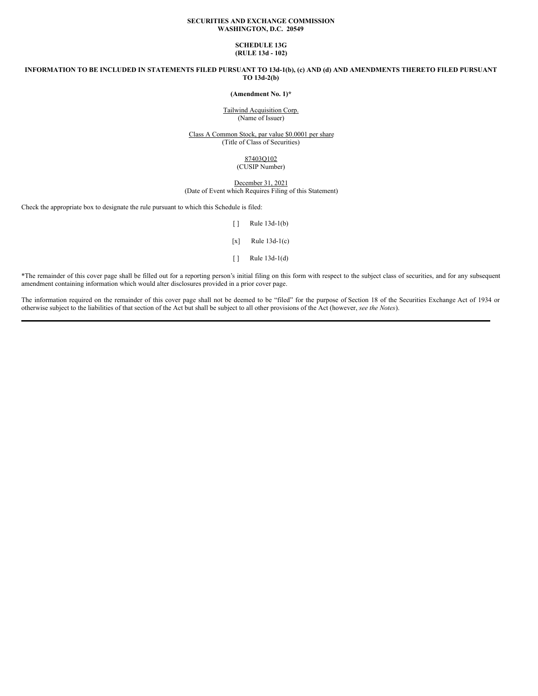# **SECURITIES AND EXCHANGE COMMISSION WASHINGTON, D.C. 20549**

# **SCHEDULE 13G (RULE 13d - 102)**

INFORMATION TO BE INCLUDED IN STATEMENTS FILED PURSUANT TO 13d-1(b), (c) AND (d) AND AMENDMENTS THERETO FILED PURSUANT **TO 13d-2(b)**

**(Amendment No. 1)\***

Tailwind Acquisition Corp. (Name of Issuer)

Class A Common Stock, par value \$0.0001 per share (Title of Class of Securities)

> 87403Q102 (CUSIP Number)

December 31, 2021 (Date of Event which Requires Filing of this Statement)

Check the appropriate box to designate the rule pursuant to which this Schedule is filed:

[ ] Rule 13d-1(b)

 $[x]$  Rule 13d-1(c)

[ ] Rule 13d-1(d)

\*The remainder of this cover page shall be filled out for a reporting person's initial filing on this form with respect to the subject class of securities, and for any subsequent amendment containing information which would alter disclosures provided in a prior cover page.

The information required on the remainder of this cover page shall not be deemed to be "filed" for the purpose of Section 18 of the Securities Exchange Act of 1934 or otherwise subject to the liabilities of that section of the Act but shall be subject to all other provisions of the Act (however, *see the Notes*).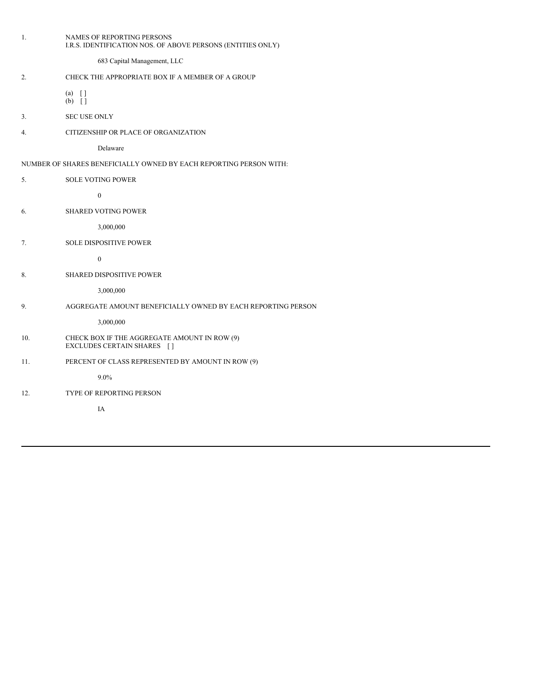| 1.                                                                 | NAMES OF REPORTING PERSONS<br>I.R.S. IDENTIFICATION NOS. OF ABOVE PERSONS (ENTITIES ONLY) |  |
|--------------------------------------------------------------------|-------------------------------------------------------------------------------------------|--|
|                                                                    | 683 Capital Management, LLC                                                               |  |
| 2.                                                                 | CHECK THE APPROPRIATE BOX IF A MEMBER OF A GROUP                                          |  |
|                                                                    | $(a)$ []<br>$(b)$ []                                                                      |  |
| 3.                                                                 | <b>SEC USE ONLY</b>                                                                       |  |
| 4.                                                                 | CITIZENSHIP OR PLACE OF ORGANIZATION                                                      |  |
|                                                                    | Delaware                                                                                  |  |
| NUMBER OF SHARES BENEFICIALLY OWNED BY EACH REPORTING PERSON WITH: |                                                                                           |  |
| 5.                                                                 | <b>SOLE VOTING POWER</b>                                                                  |  |
|                                                                    | $\boldsymbol{0}$                                                                          |  |
| 6.                                                                 | <b>SHARED VOTING POWER</b>                                                                |  |
|                                                                    | 3,000,000                                                                                 |  |
| 7.                                                                 | <b>SOLE DISPOSITIVE POWER</b>                                                             |  |
|                                                                    | $\boldsymbol{0}$                                                                          |  |
| 8.                                                                 | <b>SHARED DISPOSITIVE POWER</b>                                                           |  |
|                                                                    | 3,000,000                                                                                 |  |
| 9.                                                                 | AGGREGATE AMOUNT BENEFICIALLY OWNED BY EACH REPORTING PERSON                              |  |
|                                                                    | 3,000,000                                                                                 |  |
| 10.                                                                | CHECK BOX IF THE AGGREGATE AMOUNT IN ROW (9)<br>EXCLUDES CERTAIN SHARES []                |  |
| 11.                                                                | PERCENT OF CLASS REPRESENTED BY AMOUNT IN ROW (9)                                         |  |
|                                                                    | $9.0\%$                                                                                   |  |
| 12.                                                                | TYPE OF REPORTING PERSON                                                                  |  |
|                                                                    | IA                                                                                        |  |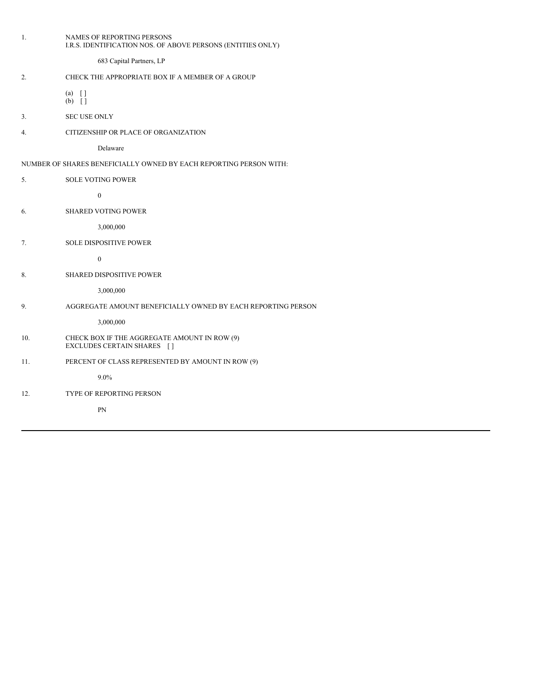|                                                                    | 1.             | NAMES OF REPORTING PERSONS<br>I.R.S. IDENTIFICATION NOS. OF ABOVE PERSONS (ENTITIES ONLY) |  |  |
|--------------------------------------------------------------------|----------------|-------------------------------------------------------------------------------------------|--|--|
|                                                                    |                | 683 Capital Partners, LP                                                                  |  |  |
|                                                                    | 2.             | CHECK THE APPROPRIATE BOX IF A MEMBER OF A GROUP                                          |  |  |
|                                                                    |                | $(a) \quad \lceil \rceil$<br>$(b)$ []                                                     |  |  |
|                                                                    | 3.             | <b>SEC USE ONLY</b>                                                                       |  |  |
|                                                                    | 4.             | CITIZENSHIP OR PLACE OF ORGANIZATION                                                      |  |  |
|                                                                    |                | Delaware                                                                                  |  |  |
| NUMBER OF SHARES BENEFICIALLY OWNED BY EACH REPORTING PERSON WITH: |                |                                                                                           |  |  |
|                                                                    | 5 <sub>1</sub> | <b>SOLE VOTING POWER</b>                                                                  |  |  |
|                                                                    |                | $\mathbf{0}$                                                                              |  |  |
|                                                                    | 6.             | <b>SHARED VOTING POWER</b>                                                                |  |  |
|                                                                    |                | 3,000,000                                                                                 |  |  |
|                                                                    | 7.             | <b>SOLE DISPOSITIVE POWER</b>                                                             |  |  |
|                                                                    |                | $\mathbf{0}$                                                                              |  |  |
|                                                                    | 8.             | SHARED DISPOSITIVE POWER                                                                  |  |  |
|                                                                    |                | 3,000,000                                                                                 |  |  |
|                                                                    | 9.             | AGGREGATE AMOUNT BENEFICIALLY OWNED BY EACH REPORTING PERSON                              |  |  |
|                                                                    |                | 3,000,000                                                                                 |  |  |
|                                                                    | 10.            | CHECK BOX IF THE AGGREGATE AMOUNT IN ROW (9)<br>EXCLUDES CERTAIN SHARES []                |  |  |
|                                                                    | 11.            | PERCENT OF CLASS REPRESENTED BY AMOUNT IN ROW (9)                                         |  |  |
|                                                                    |                | $9.0\%$                                                                                   |  |  |
|                                                                    | 12.            | TYPE OF REPORTING PERSON                                                                  |  |  |
|                                                                    |                | PN                                                                                        |  |  |
|                                                                    |                |                                                                                           |  |  |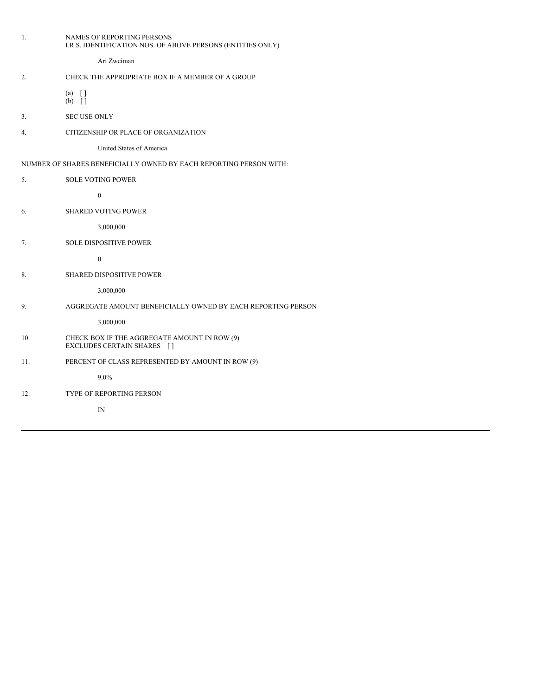| 1.                                                                 | NAMES OF REPORTING PERSONS<br>I.R.S. IDENTIFICATION NOS. OF ABOVE PERSONS (ENTITIES ONLY) |  |
|--------------------------------------------------------------------|-------------------------------------------------------------------------------------------|--|
|                                                                    | Ari Zweiman                                                                               |  |
| 2.                                                                 | CHECK THE APPROPRIATE BOX IF A MEMBER OF A GROUP                                          |  |
|                                                                    | $(a) \quad \lceil \rceil$<br>$(b)$ []                                                     |  |
| 3 <sub>1</sub>                                                     | <b>SEC USE ONLY</b>                                                                       |  |
| 4.                                                                 | CITIZENSHIP OR PLACE OF ORGANIZATION                                                      |  |
|                                                                    | United States of America                                                                  |  |
| NUMBER OF SHARES BENEFICIALLY OWNED BY EACH REPORTING PERSON WITH: |                                                                                           |  |
| 5 <sub>1</sub>                                                     | <b>SOLE VOTING POWER</b>                                                                  |  |
|                                                                    | $\boldsymbol{0}$                                                                          |  |
| 6.                                                                 | <b>SHARED VOTING POWER</b>                                                                |  |
|                                                                    | 3,000,000                                                                                 |  |
| 7.                                                                 | <b>SOLE DISPOSITIVE POWER</b>                                                             |  |
|                                                                    | $\boldsymbol{0}$                                                                          |  |
| 8.                                                                 | <b>SHARED DISPOSITIVE POWER</b>                                                           |  |
|                                                                    | 3,000,000                                                                                 |  |
| 9.                                                                 | AGGREGATE AMOUNT BENEFICIALLY OWNED BY EACH REPORTING PERSON                              |  |
|                                                                    | 3,000,000                                                                                 |  |
| 10.                                                                | CHECK BOX IF THE AGGREGATE AMOUNT IN ROW (9)<br>EXCLUDES CERTAIN SHARES []                |  |
| 11.                                                                | PERCENT OF CLASS REPRESENTED BY AMOUNT IN ROW (9)                                         |  |
|                                                                    | $9.0\%$                                                                                   |  |
| 12.                                                                | TYPE OF REPORTING PERSON                                                                  |  |
|                                                                    | IN                                                                                        |  |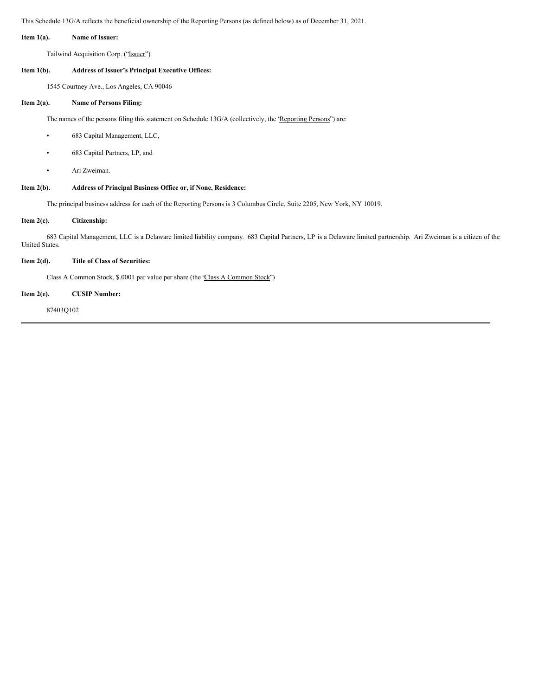This Schedule 13G/A reflects the beneficial ownership of the Reporting Persons (as defined below) as of December 31, 2021.

# **Item 1(a). Name of Issuer:**

Tailwind Acquisition Corp. ("Issuer")

# **Item 1(b). Address of Issuer's Principal Executive Offices:**

1545 Courtney Ave., Los Angeles, CA 90046

#### **Item 2(a). Name of Persons Filing:**

The names of the persons filing this statement on Schedule 13G/A (collectively, the 'Reporting Persons'') are:

- 683 Capital Management, LLC,
- 683 Capital Partners, LP, and
- Ari Zweiman.

# **Item 2(b). Address of Principal Business Office or, if None, Residence:**

The principal business address for each of the Reporting Persons is 3 Columbus Circle, Suite 2205, New York, NY 10019.

# **Item 2(c). Citizenship:**

683 Capital Management, LLC is a Delaware limited liability company. 683 Capital Partners, LP is a Delaware limited partnership. Ari Zweiman is a citizen of the United States.

# **Item 2(d). Title of Class of Securities:**

Class A Common Stock, \$.0001 par value per share (the "Class A Common Stock")

#### **Item 2(e). CUSIP Number:**

87403Q102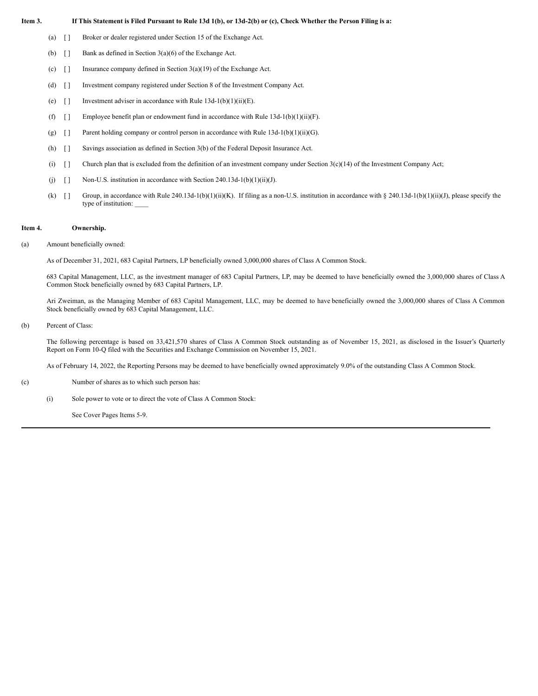# Item 3. If This Statement is Filed Pursuant to Rule 13d 1(b), or 13d-2(b) or (c), Check Whether the Person Filing is a:

- (a) [ ] Broker or dealer registered under Section 15 of the Exchange Act.
- (b)  $\begin{bmatrix} \end{bmatrix}$  Bank as defined in Section 3(a)(6) of the Exchange Act.
- (c)  $\begin{bmatrix} \end{bmatrix}$  Insurance company defined in Section 3(a)(19) of the Exchange Act.
- (d) [ ] Investment company registered under Section 8 of the Investment Company Act.
- (e)  $[ ]$  Investment adviser in accordance with Rule 13d-1(b)(1)(ii)(E).
- (f)  $\lceil \rceil$  Employee benefit plan or endowment fund in accordance with Rule 13d-1(b)(1)(ii)(F).
- (g)  $\lceil \rceil$  Parent holding company or control person in accordance with Rule 13d-1(b)(1)(ii)(G).
- (h) [ ] Savings association as defined in Section 3(b) of the Federal Deposit Insurance Act.
- (i)  $\lceil \cdot \rceil$  Church plan that is excluded from the definition of an investment company under Section 3(c)(14) of the Investment Company Act;
- (j)  $\lceil \rceil$  Non-U.S. institution in accordance with Section 240.13d-1(b)(1)(ii)(J).
- (k)  $\lceil \rceil$  Group, in accordance with Rule 240.13d-1(b)(1)(ii)(K). If filing as a non-U.S. institution in accordance with § 240.13d-1(b)(1)(ii)(J), please specify the type of institution: \_\_\_\_

#### **Item 4. Ownership.**

#### (a) Amount beneficially owned:

As of December 31, 2021, 683 Capital Partners, LP beneficially owned 3,000,000 shares of Class A Common Stock.

683 Capital Management, LLC, as the investment manager of 683 Capital Partners, LP, may be deemed to have beneficially owned the 3,000,000 shares of Class A Common Stock beneficially owned by 683 Capital Partners, LP.

Ari Zweiman, as the Managing Member of 683 Capital Management, LLC, may be deemed to have beneficially owned the 3,000,000 shares of Class A Common Stock beneficially owned by 683 Capital Management, LLC.

# (b) Percent of Class:

The following percentage is based on 33,421,570 shares of Class A Common Stock outstanding as of November 15, 2021, as disclosed in the Issuer's Quarterly Report on Form 10-Q filed with the Securities and Exchange Commission on November 15, 2021.

As of February 14, 2022, the Reporting Persons may be deemed to have beneficially owned approximately 9.0% of the outstanding Class A Common Stock.

(c) Number of shares as to which such person has:

(i) Sole power to vote or to direct the vote of Class A Common Stock:

See Cover Pages Items 5-9.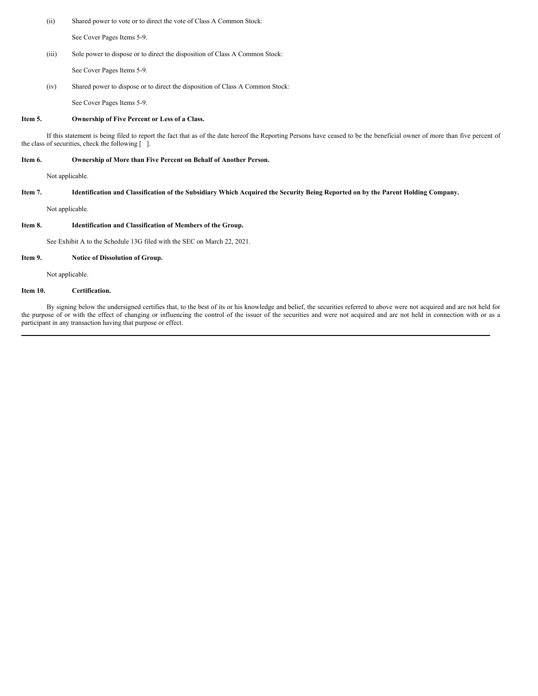(ii) Shared power to vote or to direct the vote of Class A Common Stock:

See Cover Pages Items 5-9.

(iii) Sole power to dispose or to direct the disposition of Class A Common Stock:

See Cover Pages Items 5-9.

(iv) Shared power to dispose or to direct the disposition of Class A Common Stock:

See Cover Pages Items 5-9.

# **Item 5. Ownership of Five Percent or Less of a Class.**

If this statement is being filed to report the fact that as of the date hereof the Reporting Persons have ceased to be the beneficial owner of more than five percent of the class of securities, check the following [ ].

### **Item 6. Ownership of More than Five Percent on Behalf of Another Person.**

Not applicable.

# Item 7. Identification and Classification of the Subsidiary Which Acquired the Security Being Reported on by the Parent Holding Company.

Not applicable.

# **Item 8. Identification and Classification of Members of the Group.**

See Exhibit A to the Schedule 13G filed with the SEC on March 22, 2021.

# **Item 9. Notice of Dissolution of Group.**

Not applicable.

# **Item 10. Certification.**

By signing below the undersigned certifies that, to the best of its or his knowledge and belief, the securities referred to above were not acquired and are not held for the purpose of or with the effect of changing or influencing the control of the issuer of the securities and were not acquired and are not held in connection with or as a participant in any transaction having that purpose or effect.